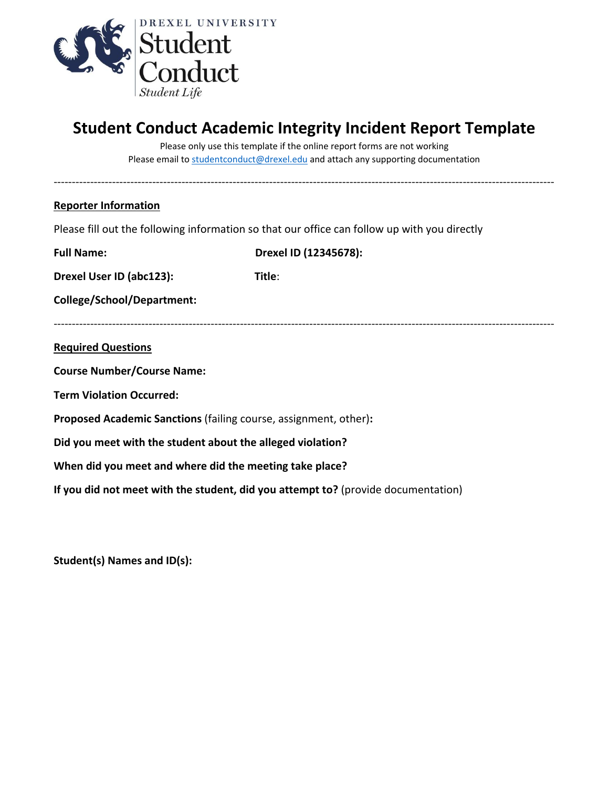

## **Student Conduct Academic Integrity Incident Report Template**

Please only use this template if the online report forms are not working Please email to [studentconduct@drexel.edu](mailto:studentconduct@drexel.edu) and attach any supporting documentation

-----------------------------------------------------------------------------------------------------------------------------------------

## **Reporter Information**

Please fill out the following information so that our office can follow up with you directly

| <b>Full Name:</b>                                                                 | Drexel ID (12345678): |  |  |  |  |
|-----------------------------------------------------------------------------------|-----------------------|--|--|--|--|
| Drexel User ID (abc123):                                                          | Title:                |  |  |  |  |
| College/School/Department:                                                        |                       |  |  |  |  |
|                                                                                   |                       |  |  |  |  |
| <b>Required Questions</b>                                                         |                       |  |  |  |  |
| <b>Course Number/Course Name:</b>                                                 |                       |  |  |  |  |
| <b>Term Violation Occurred:</b>                                                   |                       |  |  |  |  |
| Proposed Academic Sanctions (failing course, assignment, other):                  |                       |  |  |  |  |
| Did you meet with the student about the alleged violation?                        |                       |  |  |  |  |
| When did you meet and where did the meeting take place?                           |                       |  |  |  |  |
| If you did not meet with the student, did you attempt to? (provide documentation) |                       |  |  |  |  |

**Student(s) Names and ID(s):**